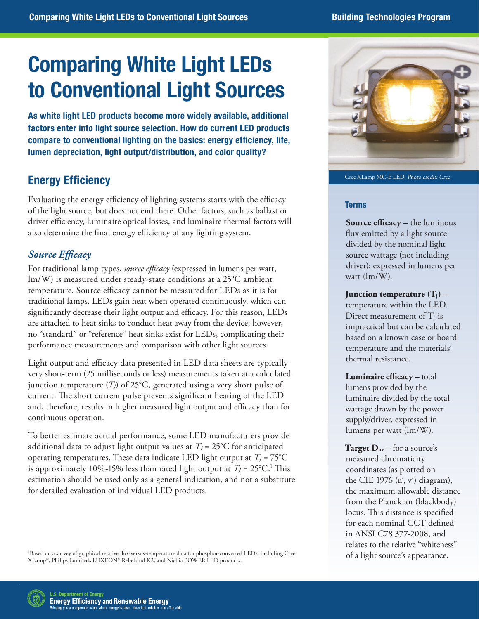# Comparing White Light LEDs to Conventional Light Sources

As white light LED products become more widely available, additional factors enter into light source selection. How do current LED products compare to conventional lighting on the basics: energy efficiency, life, lumen depreciation, light output/distribution, and color quality?

# Energy Efficiency

Evaluating the energy efficiency of lighting systems starts with the efficacy of the light source, but does not end there. Other factors, such as ballast or driver efficiency, luminaire optical losses, and luminaire thermal factors will also determine the final energy efficiency of any lighting system.

# *Source Efficacy*

For traditional lamp types, *source efficacy* (expressed in lumens per watt, lm/W) is measured under steady-state conditions at a 25°C ambient temperature. Source efficacy cannot be measured for LEDs as it is for traditional lamps. LEDs gain heat when operated continuously, which can significantly decrease their light output and efficacy. For this reason, LEDs are attached to heat sinks to conduct heat away from the device; however, no "standard" or "reference" heat sinks exist for LEDs, complicating their performance measurements and comparison with other light sources.

Light output and efficacy data presented in LED data sheets are typically very short-term (25 milliseconds or less) measurements taken at a calculated junction temperature  $(T_l)$  of 25°C, generated using a very short pulse of current. The short current pulse prevents significant heating of the LED and, therefore, results in higher measured light output and efficacy than for continuous operation.

To better estimate actual performance, some LED manufacturers provide additional data to adjust light output values at  $T_J = 25$ °C for anticipated operating temperatures. These data indicate LED light output at  $T_I = 75^{\circ}C$ is approximately 10%-15% less than rated light output at  $T_J = 25^{\circ}C$ .<sup>1</sup> This estimation should be used only as a general indication, and not a substitute for detailed evaluation of individual LED products.

1 Based on a survey of graphical relative flux-versus-temperature data for phosphor-converted LEDs, including Cree XLamp©, Philips Lumileds LUXEON© Rebel and K2, and Nichia POWER LED products.



Cree XLamp MC-E LED. Photo credit: Cree

#### Terms

**Source efficacy** – the luminous flux emitted by a light source divided by the nominal light source wattage (not including driver); expressed in lumens per watt (lm/W).

**Junction temperature (Tj)** – temperature within the LED. Direct measurement of  $T_i$  is impractical but can be calculated based on a known case or board temperature and the materials' thermal resistance.

**Luminaire efficacy** – total lumens provided by the luminaire divided by the total wattage drawn by the power supply/driver, expressed in lumens per watt (lm/W).

**Target**  $D_{uv}$  – for a source's measured chromaticity coordinates (as plotted on the CIE 1976  $(u', v')$  diagram), the maximum allowable distance from the Planckian (blackbody) locus. This distance is specified for each nominal CCT defined in ANSI C78.377-2008, and relates to the relative "whiteness" of a light source's appearance.

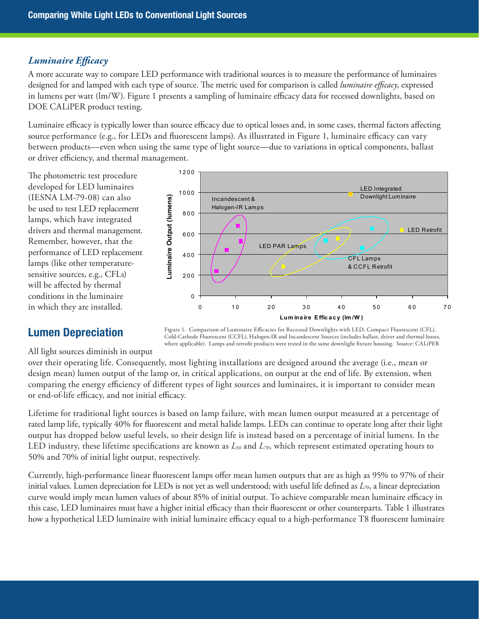## *Luminaire Efficacy*

A more accurate way to compare LED performance with traditional sources is to measure the performance of luminaires designed for and lamped with each type of source. The metric used for comparison is called *luminaire efficacy*, expressed in lumens per watt (lm/W). Figure 1 presents a sampling of luminaire efficacy data for recessed downlights, based on DOE CALiPER product testing.

Luminaire efficacy is typically lower than source efficacy due to optical losses and, in some cases, thermal factors affecting source performance (e.g., for LEDs and fluorescent lamps). As illustrated in Figure 1, luminaire efficacy can vary between products—even when using the same type of light source—due to variations in optical components, ballast or driver efficiency, and thermal management.

1 2 0 0

The photometric test procedure developed for LED luminaires (IESNA LM-79-08) can also be used to test LED replacement lamps, which have integrated drivers and thermal management. Remember, however, that the performance of LED replacement lamps (like other temperaturesensitive sources, e.g., CFLs) will be affected by thermal conditions in the luminaire in which they are installed.



## Lumen Depreciation

Figure 1. Comparison of Luminaire Efficacies for Recessed Downlights with LED, Compact Fluorescent (CFL), Cold-Cathode Fluorescent (CCFL), Halogen-IR and Incandescent Sources (includes ballast, driver and thermal losses, where applicable). Lamps and retrofit products were tested in the same downlight fixture housing. Source: CALiPER

All light sources diminish in output

over their operating life. Consequently, most lighting installations are designed around the average (i.e., mean or design mean) lumen output of the lamp or, in critical applications, on output at the end of life. By extension, when comparing the energy efficiency of different types of light sources and luminaires, it is important to consider mean or end-of-life efficacy, and not initial efficacy.

Lifetime for traditional light sources is based on lamp failure, with mean lumen output measured at a percentage of rated lamp life, typically 40% for fluorescent and metal halide lamps. LEDs can continue to operate long after their light output has dropped below useful levels, so their design life is instead based on a percentage of initial lumens. In the LED industry, these lifetime specifications are known as *L50* and *L70*, which represent estimated operating hours to 50% and 70% of initial light output, respectively.

Currently, high-performance linear fluorescent lamps offer mean lumen outputs that are as high as 95% to 97% of their initial values. Lumen depreciation for LEDs is not yet as well understood; with useful life defined as *L70*, a linear depreciation curve would imply mean lumen values of about 85% of initial output. To achieve comparable mean luminaire efficacy in this case, LED luminaires must have a higher initial efficacy than their fluorescent or other counterparts. Table 1 illustrates how a hypothetical LED luminaire with initial luminaire efficacy equal to a high-performance T8 fluorescent luminaire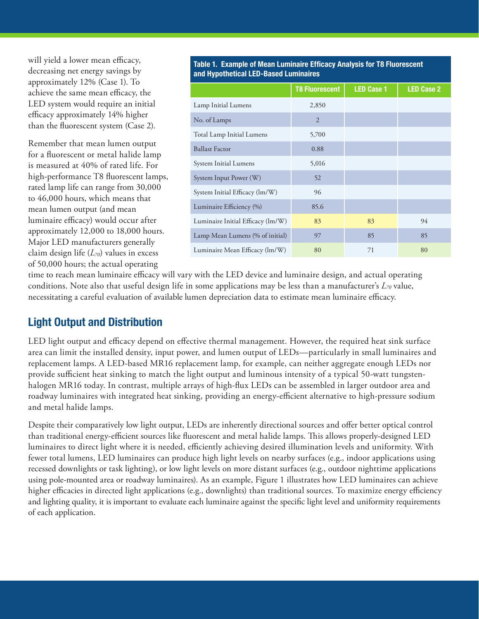will yield a lower mean efficacy, decreasing net energy savings by approximately 12% (Case 1). To achieve the same mean efficacy, the LED system would require an initial efficacy approximately 14% higher than the fluorescent system (Case 2).

Remember that mean lumen output for a fluorescent or metal halide lamp is measured at 40% of rated life. For high-performance T8 fluorescent lamps, rated lamp life can range from 30,000 to 46,000 hours, which means that mean lumen output (and mean luminaire efficacy) would occur after approximately 12,000 to 18,000 hours. Major LED manufacturers generally claim design life (*L70*) values in excess of 50,000 hours; the actual operating

Table 1. Example of Mean Luminaire Efficacy Analysis for T8 Fluorescent and Hypothetical LED-Based Luminaires

|                                   | <b>T8 Fluorescent</b> | <b>LED Case 1</b> | <b>LED Case 2</b> |
|-----------------------------------|-----------------------|-------------------|-------------------|
| Lamp Initial Lumens               | 2,850                 |                   |                   |
| No. of Lamps                      | $\overline{2}$        |                   |                   |
| Total Lamp Initial Lumens         | 5,700                 |                   |                   |
| <b>Ballast Factor</b>             | 0.88                  |                   |                   |
| System Initial Lumens             | 5,016                 |                   |                   |
| System Input Power (W)            | 52                    |                   |                   |
| System Initial Efficacy (lm/W)    | 96                    |                   |                   |
| Luminaire Efficiency (%)          | 85.6                  |                   |                   |
| Luminaire Initial Efficacy (lm/W) | 83                    | 83                | 94                |
| Lamp Mean Lumens (% of initial)   | 97                    | 85                | 85                |
| Luminaire Mean Efficacy (lm/W)    | 80                    | 71                | 80                |

time to reach mean luminaire efficacy will vary with the LED device and luminaire design, and actual operating conditions. Note also that useful design life in some applications may be less than a manufacturer's *L70* value, necessitating a careful evaluation of available lumen depreciation data to estimate mean luminaire efficacy.

## Light Output and Distribution

LED light output and efficacy depend on effective thermal management. However, the required heat sink surface area can limit the installed density, input power, and lumen output of LEDs—particularly in small luminaires and replacement lamps. A LED-based MR16 replacement lamp, for example, can neither aggregate enough LEDs nor provide sufficient heat sinking to match the light output and luminous intensity of a typical 50-watt tungstenhalogen MR16 today. In contrast, multiple arrays of high-flux LEDs can be assembled in larger outdoor area and roadway luminaires with integrated heat sinking, providing an energy-efficient alternative to high-pressure sodium and metal halide lamps.

Despite their comparatively low light output, LEDs are inherently directional sources and offer better optical control than traditional energy-efficient sources like fluorescent and metal halide lamps. This allows properly-designed LED luminaires to direct light where it is needed, efficiently achieving desired illumination levels and uniformity. With fewer total lumens, LED luminaires can produce high light levels on nearby surfaces (e.g., indoor applications using recessed downlights or task lighting), or low light levels on more distant surfaces (e.g., outdoor nighttime applications using pole-mounted area or roadway luminaires). As an example, Figure 1 illustrates how LED luminaires can achieve higher efficacies in directed light applications (e.g., downlights) than traditional sources. To maximize energy efficiency and lighting quality, it is important to evaluate each luminaire against the specific light level and uniformity requirements of each application.